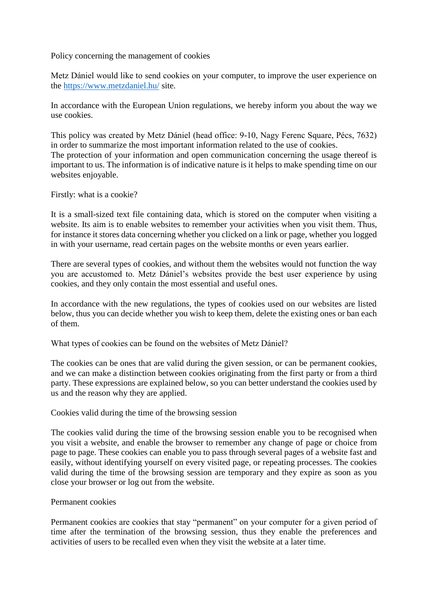Policy concerning the management of cookies

Metz Dániel would like to send cookies on your computer, to improve the user experience on the<https://www.metzdaniel.hu/> site.

In accordance with the European Union regulations, we hereby inform you about the way we use cookies.

This policy was created by Metz Dániel (head office: 9-10, Nagy Ferenc Square, Pécs, 7632) in order to summarize the most important information related to the use of cookies. The protection of your information and open communication concerning the usage thereof is important to us. The information is of indicative nature is it helps to make spending time on our websites enjoyable.

Firstly: what is a cookie?

It is a small-sized text file containing data, which is stored on the computer when visiting a website. Its aim is to enable websites to remember your activities when you visit them. Thus, for instance it stores data concerning whether you clicked on a link or page, whether you logged in with your username, read certain pages on the website months or even years earlier.

There are several types of cookies, and without them the websites would not function the way you are accustomed to. Metz Dániel's websites provide the best user experience by using cookies, and they only contain the most essential and useful ones.

In accordance with the new regulations, the types of cookies used on our websites are listed below, thus you can decide whether you wish to keep them, delete the existing ones or ban each of them.

What types of cookies can be found on the websites of Metz Dániel?

The cookies can be ones that are valid during the given session, or can be permanent cookies, and we can make a distinction between cookies originating from the first party or from a third party. These expressions are explained below, so you can better understand the cookies used by us and the reason why they are applied.

Cookies valid during the time of the browsing session

The cookies valid during the time of the browsing session enable you to be recognised when you visit a website, and enable the browser to remember any change of page or choice from page to page. These cookies can enable you to pass through several pages of a website fast and easily, without identifying yourself on every visited page, or repeating processes. The cookies valid during the time of the browsing session are temporary and they expire as soon as you close your browser or log out from the website.

#### Permanent cookies

Permanent cookies are cookies that stay "permanent" on your computer for a given period of time after the termination of the browsing session, thus they enable the preferences and activities of users to be recalled even when they visit the website at a later time.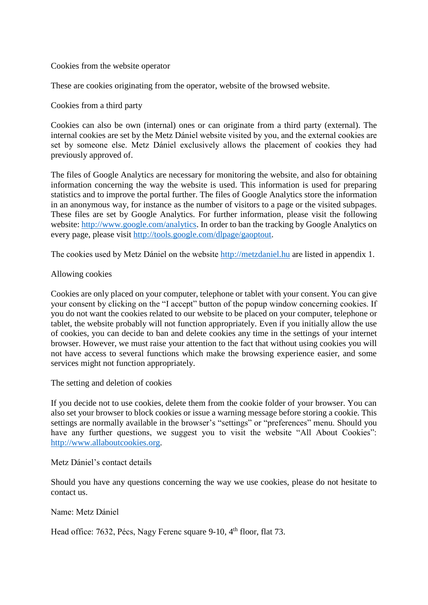### Cookies from the website operator

These are cookies originating from the operator, website of the browsed website.

Cookies from a third party

Cookies can also be own (internal) ones or can originate from a third party (external). The internal cookies are set by the Metz Dániel website visited by you, and the external cookies are set by someone else. Metz Dániel exclusively allows the placement of cookies they had previously approved of.

The files of Google Analytics are necessary for monitoring the website, and also for obtaining information concerning the way the website is used. This information is used for preparing statistics and to improve the portal further. The files of Google Analytics store the information in an anonymous way, for instance as the number of visitors to a page or the visited subpages. These files are set by Google Analytics. For further information, please visit the following website: [http://www.google.com/analytics.](http://www.google.com/analytics) In order to ban the tracking by Google Analytics on every page, please visit [http://tools.google.com/dlpage/gaoptout.](http://tools.google.com/dlpage/gaoptout)

The cookies used by Metz Dániel on the website [http://metzdaniel.hu](http://metzdaniel.hu/) are listed in appendix 1.

### Allowing cookies

Cookies are only placed on your computer, telephone or tablet with your consent. You can give your consent by clicking on the "I accept" button of the popup window concerning cookies. If you do not want the cookies related to our website to be placed on your computer, telephone or tablet, the website probably will not function appropriately. Even if you initially allow the use of cookies, you can decide to ban and delete cookies any time in the settings of your internet browser. However, we must raise your attention to the fact that without using cookies you will not have access to several functions which make the browsing experience easier, and some services might not function appropriately.

The setting and deletion of cookies

If you decide not to use cookies, delete them from the cookie folder of your browser. You can also set your browser to block cookies or issue a warning message before storing a cookie. This settings are normally available in the browser's "settings" or "preferences" menu. Should you have any further questions, we suggest you to visit the website "All About Cookies": [http://www.allaboutcookies.org.](http://www.allaboutcookies.org/)

### Metz Dániel's contact details

Should you have any questions concerning the way we use cookies, please do not hesitate to contact us.

Name: Metz Dániel

Head office: 7632, Pécs, Nagy Ferenc square 9-10, 4<sup>th</sup> floor, flat 73.